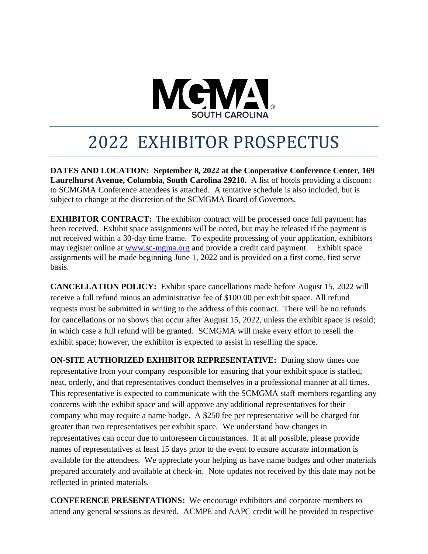

# 2022 EXHIBITOR PROSPECTUS

**DATES AND LOCATION: September 8, 2022 at the Cooperative Conference Center, 169 Laurelhurst Avenue, Columbia, South Carolina 29210.** A list of hotels providing a discount to SCMGMA Conference attendees is attached. A tentative schedule is also included, but is subject to change at the discretion of the SCMGMA Board of Governors.

**EXHIBITOR CONTRACT:** The exhibitor contract will be processed once full payment has been received. Exhibit space assignments will be noted, but may be released if the payment is not received within a 30-day time frame. To expedite processing of your application, exhibitors may register online at [www.sc-mgma.org](http://www.sc-mgma.org/) and provide a credit card payment. Exhibit space assignments will be made beginning June 1, 2022 and is provided on a first come, first serve basis.

**CANCELLATION POLICY:** Exhibit space cancellations made before August 15, 2022 will receive a full refund minus an administrative fee of \$100.00 per exhibit space. All refund requests must be submitted in writing to the address of this contract. There will be no refunds for cancellations or no shows that occur after August 15, 2022, unless the exhibit space is resold; in which case a full refund will be granted. SCMGMA will make every effort to resell the exhibit space; however, the exhibitor is expected to assist in reselling the space.

**ON-SITE AUTHORIZED EXHIBITOR REPRESENTATIVE:** During show times one representative from your company responsible for ensuring that your exhibit space is staffed, neat, orderly, and that representatives conduct themselves in a professional manner at all times. This representative is expected to communicate with the SCMGMA staff members regarding any concerns with the exhibit space and will approve any additional representatives for their company who may require a name badge. A \$250 fee per representative will be charged for greater than two representatives per exhibit space. We understand how changes in representatives can occur due to unforeseen circumstances. If at all possible, please provide names of representatives at least 15 days prior to the event to ensure accurate information is available for the attendees. We appreciate your helping us have name badges and other materials prepared accurately and available at check-in. Note updates not received by this date may not be reflected in printed materials.

**CONFERENCE PRESENTATIONS:** We encourage exhibitors and corporate members to attend any general sessions as desired. ACMPE and AAPC credit will be provided to respective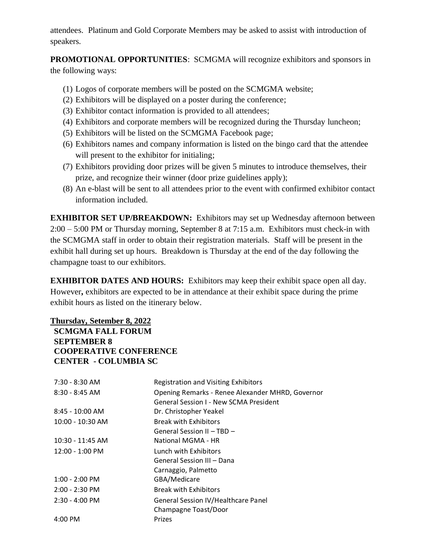attendees. Platinum and Gold Corporate Members may be asked to assist with introduction of speakers.

**PROMOTIONAL OPPORTUNITIES**: SCMGMA will recognize exhibitors and sponsors in the following ways:

- (1) Logos of corporate members will be posted on the SCMGMA website;
- (2) Exhibitors will be displayed on a poster during the conference;
- (3) Exhibitor contact information is provided to all attendees;
- (4) Exhibitors and corporate members will be recognized during the Thursday luncheon;
- (5) Exhibitors will be listed on the SCMGMA Facebook page;
- (6) Exhibitors names and company information is listed on the bingo card that the attendee will present to the exhibitor for initialing;
- (7) Exhibitors providing door prizes will be given 5 minutes to introduce themselves, their prize, and recognize their winner (door prize guidelines apply);
- (8) An e-blast will be sent to all attendees prior to the event with confirmed exhibitor contact information included.

**EXHIBITOR SET UP/BREAKDOWN:** Exhibitors may set up Wednesday afternoon between 2:00 – 5:00 PM or Thursday morning, September 8 at 7:15 a.m. Exhibitors must check-in with the SCMGMA staff in order to obtain their registration materials. Staff will be present in the exhibit hall during set up hours. Breakdown is Thursday at the end of the day following the champagne toast to our exhibitors.

**EXHIBITOR DATES AND HOURS:** Exhibitors may keep their exhibit space open all day. However**,** exhibitors are expected to be in attendance at their exhibit space during the prime exhibit hours as listed on the itinerary below.

## **Thursday, Setember 8, 2022**

## **SCMGMA FALL FORUM SEPTEMBER 8 COOPERATIVE CONFERENCE CENTER - COLUMBIA SC**

| 7:30 - 8:30 AM           | <b>Registration and Visiting Exhibitors</b>                                                       |
|--------------------------|---------------------------------------------------------------------------------------------------|
| $8:30 - 8:45$ AM         | Opening Remarks - Renee Alexander MHRD, Governor<br><b>General Session I - New SCMA President</b> |
| $8:45 - 10:00$ AM        | Dr. Christopher Yeakel                                                                            |
| 10:00 - 10:30 AM         | <b>Break with Exhibitors</b>                                                                      |
|                          | General Session II - TBD -                                                                        |
| 10:30 - 11:45 AM         | National MGMA - HR                                                                                |
| $12:00 - 1:00$ PM        | Lunch with Exhibitors                                                                             |
|                          | General Session III - Dana                                                                        |
|                          | Carnaggio, Palmetto                                                                               |
| $1:00 - 2:00$ PM         | GBA/Medicare                                                                                      |
| $2:00 - 2:30$ PM         | <b>Break with Exhibitors</b>                                                                      |
| $2:30 - 4:00 \text{ PM}$ | General Session IV/Healthcare Panel                                                               |
|                          | Champagne Toast/Door                                                                              |
| $4:00$ PM                | Prizes                                                                                            |
|                          |                                                                                                   |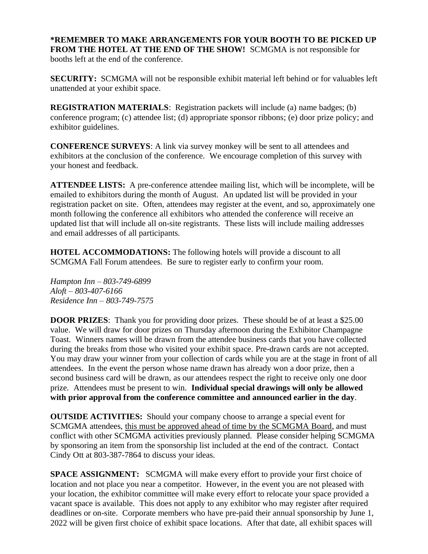**\*REMEMBER TO MAKE ARRANGEMENTS FOR YOUR BOOTH TO BE PICKED UP FROM THE HOTEL AT THE END OF THE SHOW!** SCMGMA is not responsible for booths left at the end of the conference.

**SECURITY:** SCMGMA will not be responsible exhibit material left behind or for valuables left unattended at your exhibit space.

**REGISTRATION MATERIALS**: Registration packets will include (a) name badges; (b) conference program; (c) attendee list; (d) appropriate sponsor ribbons; (e) door prize policy; and exhibitor guidelines.

**CONFERENCE SURVEYS**: A link via survey monkey will be sent to all attendees and exhibitors at the conclusion of the conference. We encourage completion of this survey with your honest and feedback.

**ATTENDEE LISTS:** A pre-conference attendee mailing list, which will be incomplete, will be emailed to exhibitors during the month of August. An updated list will be provided in your registration packet on site. Often, attendees may register at the event, and so, approximately one month following the conference all exhibitors who attended the conference will receive an updated list that will include all on-site registrants. These lists will include mailing addresses and email addresses of all participants.

**HOTEL ACCOMMODATIONS:** The following hotels will provide a discount to all SCMGMA Fall Forum attendees. Be sure to register early to confirm your room.

*Hampton Inn – 803-749-6899 Aloft – 803-407-6166 Residence Inn – 803-749-7575*

**DOOR PRIZES:** Thank you for providing door prizes. These should be of at least a \$25.00 value. We will draw for door prizes on Thursday afternoon during the Exhibitor Champagne Toast. Winners names will be drawn from the attendee business cards that you have collected during the breaks from those who visited your exhibit space. Pre-drawn cards are not accepted. You may draw your winner from your collection of cards while you are at the stage in front of all attendees. In the event the person whose name drawn has already won a door prize, then a second business card will be drawn, as our attendees respect the right to receive only one door prize. Attendees must be present to win. **Individual special drawings will only be allowed with prior approval from the conference committee and announced earlier in the day**.

**OUTSIDE ACTIVITIES:** Should your company choose to arrange a special event for SCMGMA attendees, this must be approved ahead of time by the SCMGMA Board, and must conflict with other SCMGMA activities previously planned. Please consider helping SCMGMA by sponsoring an item from the sponsorship list included at the end of the contract. Contact Cindy Ott at 803-387-7864 to discuss your ideas.

**SPACE ASSIGNMENT:** SCMGMA will make every effort to provide your first choice of location and not place you near a competitor. However, in the event you are not pleased with your location, the exhibitor committee will make every effort to relocate your space provided a vacant space is available. This does not apply to any exhibitor who may register after required deadlines or on-site. Corporate members who have pre-paid their annual sponsorship by June 1, 2022 will be given first choice of exhibit space locations. After that date, all exhibit spaces will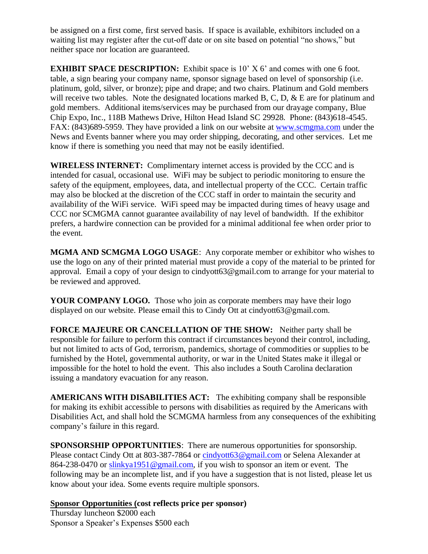be assigned on a first come, first served basis. If space is available, exhibitors included on a waiting list may register after the cut-off date or on site based on potential "no shows," but neither space nor location are guaranteed.

**EXHIBIT SPACE DESCRIPTION:** Exhibit space is 10' X 6' and comes with one 6 foot. table, a sign bearing your company name, sponsor signage based on level of sponsorship (i.e. platinum, gold, silver, or bronze); pipe and drape; and two chairs. Platinum and Gold members will receive two tables. Note the designated locations marked B, C, D,  $\&$  E are for platinum and gold members. Additional items/services may be purchased from our drayage company, Blue Chip Expo, Inc., 118B Mathews Drive, Hilton Head Island SC 29928. Phone: (843)618-4545. FAX: (843)689-5959. They have provided a link on our website at [www.scmgma.com](http://www.scmgma.com/) under the News and Events banner where you may order shipping, decorating, and other services. Let me know if there is something you need that may not be easily identified.

**WIRELESS INTERNET:** Complimentary internet access is provided by the CCC and is intended for casual, occasional use. WiFi may be subject to periodic monitoring to ensure the safety of the equipment, employees, data, and intellectual property of the CCC. Certain traffic may also be blocked at the discretion of the CCC staff in order to maintain the security and availability of the WiFi service. WiFi speed may be impacted during times of heavy usage and CCC nor SCMGMA cannot guarantee availability of nay level of bandwidth. If the exhibitor prefers, a hardwire connection can be provided for a minimal additional fee when order prior to the event.

**MGMA AND SCMGMA LOGO USAGE**: Any corporate member or exhibitor who wishes to use the logo on any of their printed material must provide a copy of the material to be printed for approval. Email a copy of your design to cindyott63@gmail.com to arrange for your material to be reviewed and approved.

**YOUR COMPANY LOGO.** Those who join as corporate members may have their logo displayed on our website. Please email this to Cindy Ott at cindyott63@gmail.com.

**FORCE MAJEURE OR CANCELLATION OF THE SHOW:** Neither party shall be responsible for failure to perform this contract if circumstances beyond their control, including, but not limited to acts of God, terrorism, pandemics, shortage of commodities or supplies to be furnished by the Hotel, governmental authority, or war in the United States make it illegal or impossible for the hotel to hold the event. This also includes a South Carolina declaration issuing a mandatory evacuation for any reason.

**AMERICANS WITH DISABILITIES ACT:** The exhibiting company shall be responsible for making its exhibit accessible to persons with disabilities as required by the Americans with Disabilities Act, and shall hold the SCMGMA harmless from any consequences of the exhibiting company's failure in this regard.

**SPONSORSHIP OPPORTUNITIES**: There are numerous opportunities for sponsorship. Please contact Cindy Ott at 803-387-7864 or [cindyott63@gmail.com](mailto:cindyott63@gmail.com) or Selena Alexander at 864-238-0470 or [slinkya1951@gmail.com,](mailto:slinkya1951@gmail.com) if you wish to sponsor an item or event. The following may be an incomplete list, and if you have a suggestion that is not listed, please let us know about your idea. Some events require multiple sponsors.

**Sponsor Opportunities (cost reflects price per sponsor)** Thursday luncheon \$2000 each Sponsor a Speaker's Expenses \$500 each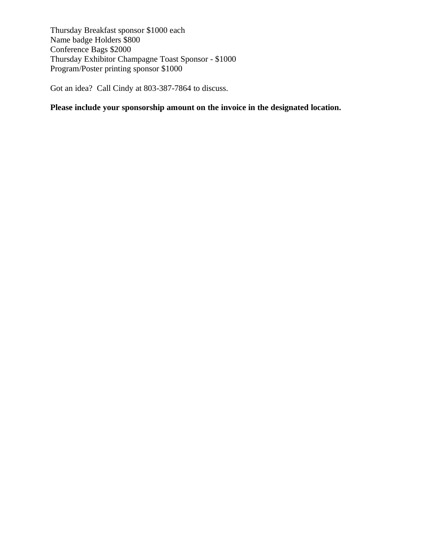Thursday Breakfast sponsor \$1000 each Name badge Holders \$800 Conference Bags \$2000 Thursday Exhibitor Champagne Toast Sponsor - \$1000 Program/Poster printing sponsor \$1000

Got an idea? Call Cindy at 803-387-7864 to discuss.

# **Please include your sponsorship amount on the invoice in the designated location.**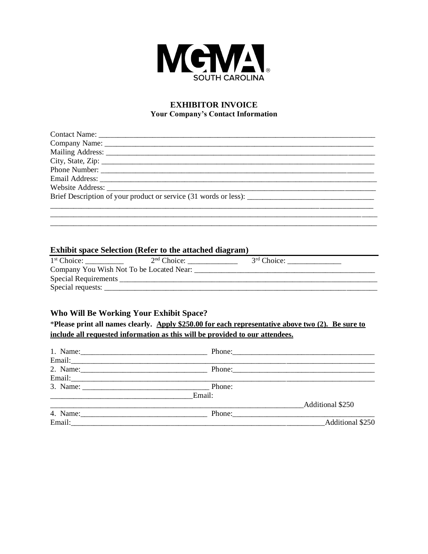

## **EXHIBITOR INVOICE Your Company's Contact Information**

| Brief Description of your product or service (31 words or less): |
|------------------------------------------------------------------|
|                                                                  |
|                                                                  |

#### **Exhibit space Selection (Refer to the attached diagram)**

| $1st$ Choice:                            | $2nd$ Choice: | 3 <sup>rd</sup> Choice: |
|------------------------------------------|---------------|-------------------------|
| Company You Wish Not To be Located Near: |               |                         |
| <b>Special Requirements</b>              |               |                         |
| Special requests:                        |               |                         |

### Who Will Be Working Your Exhibit Space?

\*Please print all names clearly. Apply \$250.00 for each representative above two (2). Be sure to include all requested information as this will be provided to our attendees.

|                    |                                                                              | Phone: 2008 Phone: 2008 Phone: 2008 Phone: 2008 Phone: 2008 Phone: 2008 Phone: 2008 Phone: 2008 Phone: 2008 Phone: 2008 Phone: 2008 Phone: 2008 Phone: 2008 Phone: 2008 Phone: 2008 Phone: 2008 Phone: 2008 Phone: 2008 Phone: |
|--------------------|------------------------------------------------------------------------------|--------------------------------------------------------------------------------------------------------------------------------------------------------------------------------------------------------------------------------|
|                    |                                                                              |                                                                                                                                                                                                                                |
|                    |                                                                              |                                                                                                                                                                                                                                |
|                    | Email:                                                                       |                                                                                                                                                                                                                                |
|                    |                                                                              | Additional \$250                                                                                                                                                                                                               |
|                    | Phone: $\frac{1}{\sqrt{1-\frac{1}{2}} \cdot \frac{1}{\sqrt{1-\frac{1}{2}}}}$ |                                                                                                                                                                                                                                |
| Email:____________ |                                                                              | Additional \$250                                                                                                                                                                                                               |